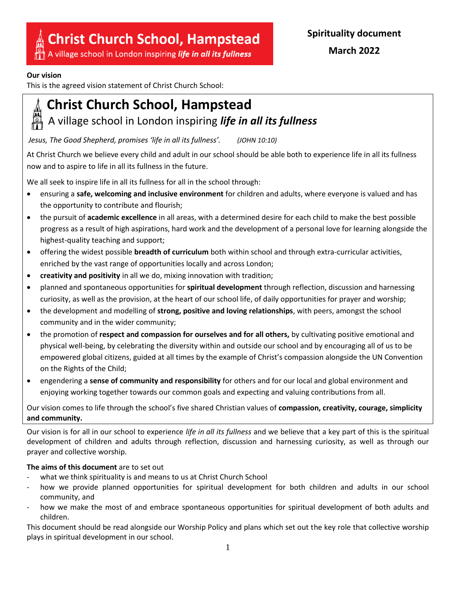# **Christ Church School, Hampstead**

A village school in London inspiring life in all its fullness

# **Our vision**

This is the agreed vision statement of Christ Church School: 

# **Christ Church School, Hampstead**

# A village school in London inspiring *life in all its fullness*

*Jesus, The Good Shepherd, promises 'life in all its fullness'. (JOHN 10:10)*

At Christ Church we believe every child and adult in our school should be able both to experience life in all its fullness now and to aspire to life in all its fullness in the future.

We all seek to inspire life in all its fullness for all in the school through:

- ensuring a **safe, welcoming and inclusive environment** for children and adults, where everyone is valued and has the opportunity to contribute and flourish;
- the pursuit of **academic excellence** in all areas, with a determined desire for each child to make the best possible progress as a result of high aspirations, hard work and the development of a personal love for learning alongside the highest-quality teaching and support;
- offering the widest possible **breadth of curriculum** both within school and through extra-curricular activities, enriched by the vast range of opportunities locally and across London;
- **creativity and positivity** in all we do, mixing innovation with tradition;
- planned and spontaneous opportunities for **spiritual development** through reflection, discussion and harnessing curiosity, as well as the provision, at the heart of our school life, of daily opportunities for prayer and worship;
- the development and modelling of **strong, positive and loving relationships**, with peers, amongst the school community and in the wider community;
- the promotion of **respect and compassion for ourselves and for all others,** by cultivating positive emotional and physical well-being, by celebrating the diversity within and outside our school and by encouraging all of us to be empowered global citizens, guided at all times by the example of Christ's compassion alongside the UN Convention on the Rights of the Child;
- engendering a **sense of community and responsibility** for others and for our local and global environment and enjoying working together towards our common goals and expecting and valuing contributions from all.

Our vision comes to life through the school's five shared Christian values of **compassion, creativity, courage, simplicity and community.**

Our vision is for all in our school to experience *life in all its fullness* and we believe that a key part of this is the spiritual development of children and adults through reflection, discussion and harnessing curiosity, as well as through our prayer and collective worship.

# **The aims of this document** are to set out

- what we think spirituality is and means to us at Christ Church School
- how we provide planned opportunities for spiritual development for both children and adults in our school community, and
- how we make the most of and embrace spontaneous opportunities for spiritual development of both adults and children.

This document should be read alongside our Worship Policy and plans which set out the key role that collective worship plays in spiritual development in our school.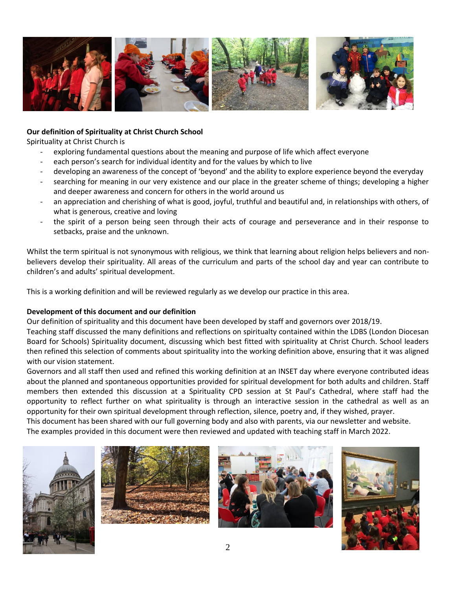

## **Our definition of Spirituality at Christ Church School**

Spirituality at Christ Church is

- exploring fundamental questions about the meaning and purpose of life which affect everyone
- each person's search for individual identity and for the values by which to live
- developing an awareness of the concept of 'beyond' and the ability to explore experience beyond the everyday
- searching for meaning in our very existence and our place in the greater scheme of things; developing a higher and deeper awareness and concern for others in the world around us
- an appreciation and cherishing of what is good, joyful, truthful and beautiful and, in relationships with others, of what is generous, creative and loving
- the spirit of a person being seen through their acts of courage and perseverance and in their response to setbacks, praise and the unknown.

Whilst the term spiritual is not synonymous with religious, we think that learning about religion helps believers and nonbelievers develop their spirituality. All areas of the curriculum and parts of the school day and year can contribute to children's and adults' spiritual development.

This is a working definition and will be reviewed regularly as we develop our practice in this area.

### **Development of this document and our definition**

Our definition of spirituality and this document have been developed by staff and governors over 2018/19. Teaching staff discussed the many definitions and reflections on spiritualty contained within the LDBS (London Diocesan Board for Schools) Spirituality document, discussing which best fitted with spirituality at Christ Church. School leaders then refined this selection of comments about spirituality into the working definition above, ensuring that it was aligned with our vision statement.

Governors and all staff then used and refined this working definition at an INSET day where everyone contributed ideas about the planned and spontaneous opportunities provided for spiritual development for both adults and children. Staff members then extended this discussion at a Spirituality CPD session at St Paul's Cathedral, where staff had the opportunity to reflect further on what spirituality is through an interactive session in the cathedral as well as an opportunity for their own spiritual development through reflection, silence, poetry and, if they wished, prayer.

This document has been shared with our full governing body and also with parents, via our newsletter and website. The examples provided in this document were then reviewed and updated with teaching staff in March 2022.







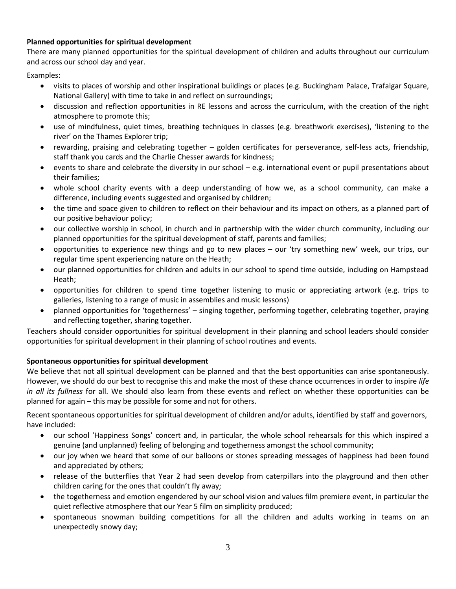## **Planned opportunities for spiritual development**

There are many planned opportunities for the spiritual development of children and adults throughout our curriculum and across our school day and year.

Examples:

- visits to places of worship and other inspirational buildings or places (e.g. Buckingham Palace, Trafalgar Square, National Gallery) with time to take in and reflect on surroundings;
- discussion and reflection opportunities in RE lessons and across the curriculum, with the creation of the right atmosphere to promote this;
- use of mindfulness, quiet times, breathing techniques in classes (e.g. breathwork exercises), 'listening to the river' on the Thames Explorer trip;
- rewarding, praising and celebrating together golden certificates for perseverance, self-less acts, friendship, staff thank you cards and the Charlie Chesser awards for kindness;
- events to share and celebrate the diversity in our school e.g. international event or pupil presentations about their families;
- whole school charity events with a deep understanding of how we, as a school community, can make a difference, including events suggested and organised by children;
- the time and space given to children to reflect on their behaviour and its impact on others, as a planned part of our positive behaviour policy;
- our collective worship in school, in church and in partnership with the wider church community, including our planned opportunities for the spiritual development of staff, parents and families;
- opportunities to experience new things and go to new places our 'try something new' week, our trips, our regular time spent experiencing nature on the Heath;
- our planned opportunities for children and adults in our school to spend time outside, including on Hampstead Heath;
- opportunities for children to spend time together listening to music or appreciating artwork (e.g. trips to galleries, listening to a range of music in assemblies and music lessons)
- planned opportunities for 'togetherness' singing together, performing together, celebrating together, praying and reflecting together, sharing together.

Teachers should consider opportunities for spiritual development in their planning and school leaders should consider opportunities for spiritual development in their planning of school routines and events.

## **Spontaneous opportunities for spiritual development**

We believe that not all spiritual development can be planned and that the best opportunities can arise spontaneously. However, we should do our best to recognise this and make the most of these chance occurrences in order to inspire *life in all its fullness* for all. We should also learn from these events and reflect on whether these opportunities can be planned for again – this may be possible for some and not for others.

Recent spontaneous opportunities for spiritual development of children and/or adults, identified by staff and governors, have included:

- our school 'Happiness Songs' concert and, in particular, the whole school rehearsals for this which inspired a genuine (and unplanned) feeling of belonging and togetherness amongst the school community;
- our joy when we heard that some of our balloons or stones spreading messages of happiness had been found and appreciated by others;
- release of the butterflies that Year 2 had seen develop from caterpillars into the playground and then other children caring for the ones that couldn't fly away;
- the togetherness and emotion engendered by our school vision and values film premiere event, in particular the quiet reflective atmosphere that our Year 5 film on simplicity produced;
- spontaneous snowman building competitions for all the children and adults working in teams on an unexpectedly snowy day;